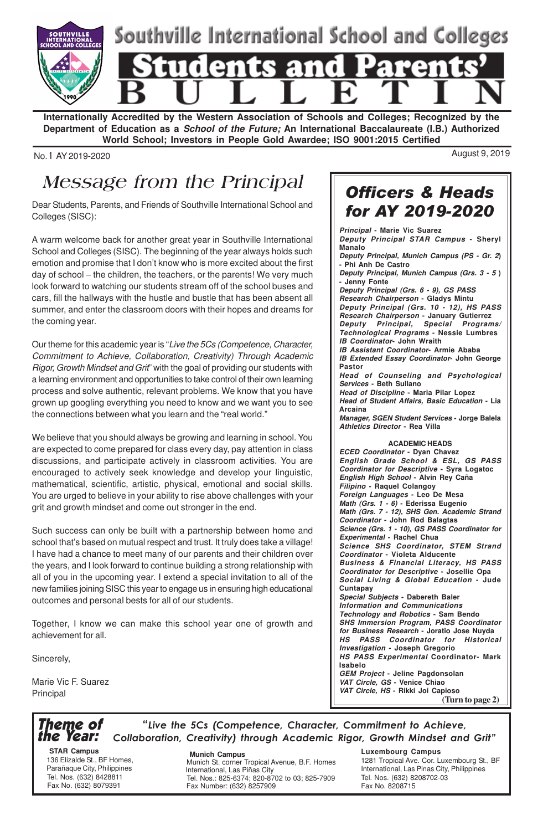

**Internationally Accredited by the Western Association of Schools and Colleges; Recognized by the Department of Education as a School of the Future; An International Baccalaureate (I.B.) Authorized World School; Investors in People Gold Awardee; ISO 9001:2015 Certified**

No. 1 AY 2019-2020 August 9, 2019

# Message from the Principal

Dear Students, Parents, and Friends of Southville International School and Colleges (SISC):

A warm welcome back for another great year in Southville International School and Colleges (SISC). The beginning of the year always holds such emotion and promise that I don't know who is more excited about the first day of school – the children, the teachers, or the parents! We very much look forward to watching our students stream off of the school buses and cars, fill the hallways with the hustle and bustle that has been absent all summer, and enter the classroom doors with their hopes and dreams for the coming year.

Our theme for this academic year is "Live the 5Cs (Competence, Character, Commitment to Achieve, Collaboration, Creativity) Through Academic Rigor, Growth Mindset and Grit" with the goal of providing our students with a learning environment and opportunities to take control of their own learning process and solve authentic, relevant problems. We know that you have grown up googling everything you need to know and we want you to see the connections between what you learn and the "real world."

We believe that you should always be growing and learning in school. You are expected to come prepared for class every day, pay attention in class discussions, and participate actively in classroom activities. You are encouraged to actively seek knowledge and develop your linguistic, mathematical, scientific, artistic, physical, emotional and social skills. You are urged to believe in your ability to rise above challenges with your grit and growth mindset and come out stronger in the end.

Such success can only be built with a partnership between home and school that's based on mutual respect and trust. It truly does take a village! I have had a chance to meet many of our parents and their children over the years, and I look forward to continue building a strong relationship with all of you in the upcoming year. I extend a special invitation to all of the new families joining SISC this year to engage us in ensuring high educational outcomes and personal bests for all of our students.

Together, I know we can make this school year one of growth and achievement for all.

Sincerely,

Marie Vic F. Suarez Principal

Officers & Heads for AY 2019-2020

**Principal - Marie Vic Suarez Deputy Principal STAR Campus - Sheryl Manalo Deputy Principal, Munich Campus (PS - Gr. 2) - Phi Anh De Castro Deputy Principal, Munich Campus (Grs. 3 - 5 ) - Jenny Fonte Deputy Principal (Grs. 6 - 9), GS PASS Research Chairperson - Gladys Mintu Deputy Principal (Grs. 10 - 12), HS PASS Research Chairperson - January Gutierrez Deputy Principal, Special Programs/ Technological Programs - Nessie Lumbres IB Coordinator- John Wraith IB Assistant Coordinator- Armie Ababa IB Extended Essay Coordinator- John George Pastor Head of Counseling and Psychological Services - Beth Sullano Head of Discipline - Maria Pilar Lopez Head of Student Affairs, Basic Education - Lia Arcaina Manager, SGEN Student Services - Jorge Balela Athletics Director - Rea Villa ACADEMIC HEADS ECED Coordinator - Dyan Chavez English Grade School & ESL, GS PASS Coordinator for Descriptive - Syra Logatoc English High School - Alvin Rey Caña Filipino - Raquel Colangoy Foreign Languages - Leo De Mesa Math (Grs. 1 - 6) - Ederissa Eugenio Math (Grs. 7 - 12), SHS Gen. Academic Strand Coordinator - John Rod Balagtas Science (Grs. 1 - 10), GS PASS Coordinator for Experimental - Rachel Chua Science SHS Coordinator, STEM Strand Coordinator - Violeta Alducente Business & Financial Literacy, HS PASS Coordinator for Descriptive - Josellie Opa Social Living & Global Education - Jude Cuntapay Special Subjects - Dabereth Baler Information and Communications Technology and Robotics - Sam Bendo SHS Immersion Program, PASS Coordinator for Business Research - Joratio Jose Nuyda HS PASS** Coordinator for **Investigation - Joseph Gregorio HS PASS Experimental Coordinator- Mark Isabelo GEM Project - Jeline Pagdonsolan VAT Circle, GS - Venice Chiao VAT Circle, HS - Rikki Joi Capioso (Turn to page 2)**

### Theme of the Year:

"Live the 5Cs (Competence, Character, Commitment to Achieve, Collaboration, Creativity) through Academic Rigor, Growth Mindset and Grit"

 **STAR Campus** 136 Elizalde St., BF Homes, Parañaque City, Philippines Tel. Nos. (632) 8428811 Fax No. (632) 8079391

 **Munich Campus**

Munich St. corner Tropical Avenue, B.F. Homes International, Las Piñas City Tel. Nos.: 825-6374; 820-8702 to 03; 825-7909 Fax Number: (632) 8257909

**Luxembourg Campus**

1281 Tropical Ave. Cor. Luxembourg St., BF International, Las Pinas City, Philippines Tel. Nos. (632) 8208702-03 Fax No. 8208715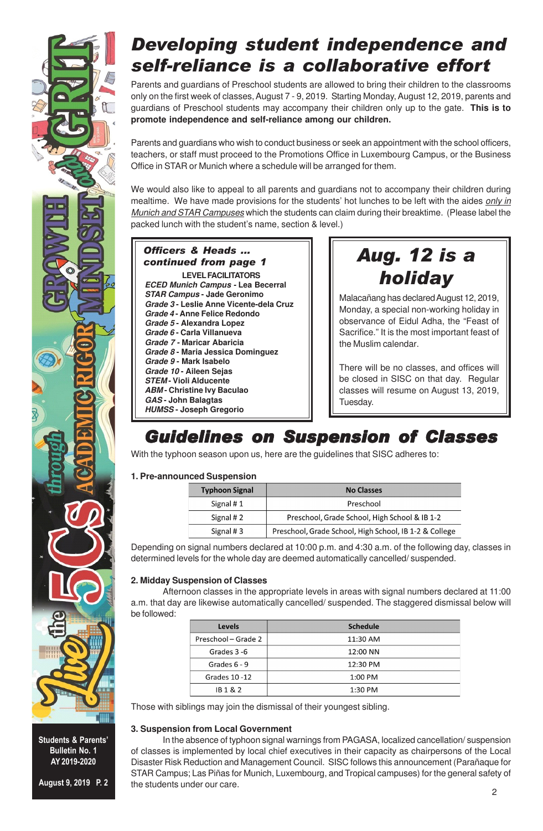

### Developing student independence and self-reliance is a collaborative effort

Parents and guardians of Preschool students are allowed to bring their children to the classrooms only on the first week of classes, August 7 - 9, 2019. Starting Monday, August 12, 2019, parents and guardians of Preschool students may accompany their children only up to the gate. **This is to promote independence and self-reliance among our children.**

Parents and guardians who wish to conduct business or seek an appointment with the school officers, teachers, or staff must proceed to the Promotions Office in Luxembourg Campus, or the Business Office in STAR or Munich where a schedule will be arranged for them.

We would also like to appeal to all parents and guardians not to accompany their children during mealtime. We have made provisions for the students' hot lunches to be left with the aides only in Munich and STAR Campuses which the students can claim during their breaktime. (Please label the packed lunch with the student's name, section & level.)

#### Officers & Heads ... continued from page 1 **LEVEL FACILITATORS**

**ECED Munich Campus - Lea Becerral STAR Campus - Jade Geronimo Grade 3 - Leslie Anne Vicente-dela Cruz Grade 4 - Anne Felice Redondo Grade 5 - Alexandra Lopez Grade 6 - Carla Villanueva Grade 7 - Maricar Abaricia Grade 8 - Maria Jessica Dominguez Grade 9 - Mark Isabelo Grade 10 - Aileen Sejas STEM - Violi Alducente ABM - Christine Ivy Baculao GAS - John Balagtas HUMSS - Joseph Gregorio**

# Aug. 12 is a holiday

Malacañang has declared August 12, 2019, Monday, a special non-working holiday in observance of Eidul Adha, the "Feast of Sacrifice." It is the most important feast of the Muslim calendar.

There will be no classes, and offices will be closed in SISC on that day. Regular classes will resume on August 13, 2019, Tuesday.

### Guidelines on Suspension of Classes

With the typhoon season upon us, here are the guidelines that SISC adheres to:

#### **1. Pre-announced Suspension**

| <b>Typhoon Signal</b> | <b>No Classes</b>                                      |
|-----------------------|--------------------------------------------------------|
| Signal # $1$          | Preschool                                              |
| Signal # $2$          | Preschool, Grade School, High School & IB 1-2          |
| Signal #3             | Preschool, Grade School, High School, IB 1-2 & College |

Depending on signal numbers declared at 10:00 p.m. and 4:30 a.m. of the following day, classes in determined levels for the whole day are deemed automatically cancelled/ suspended.

#### **2. Midday Suspension of Classes**

Afternoon classes in the appropriate levels in areas with signal numbers declared at 11:00 a.m. that day are likewise automatically cancelled/ suspended. The staggered dismissal below will be followed:

| Levels              | <b>Schedule</b> |  |
|---------------------|-----------------|--|
| Preschool - Grade 2 | 11:30 AM        |  |
| Grades 3-6          | 12:00 NN        |  |
| Grades 6 - 9        | 12:30 PM        |  |
| Grades 10-12        | $1:00$ PM       |  |
| IB 1 & 2            | 1:30 PM         |  |

Those with siblings may join the dismissal of their youngest sibling.

#### **3. Suspension from Local Government**

In the absence of typhoon signal warnings from PAGASA, localized cancellation/ suspension of classes is implemented by local chief executives in their capacity as chairpersons of the Local Disaster Risk Reduction and Management Council. SISC follows this announcement (Parañaque for STAR Campus; Las Piñas for Munich, Luxembourg, and Tropical campuses) for the general safety of the students under our care.



Students & Parents' Bulletin No. 1 AY 2019-2020